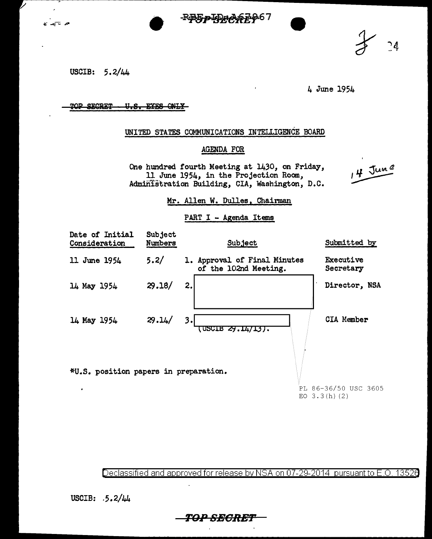$- <sup>PP</sup> = <sup>PP</sup> + <sup>PP</sup> + <sup>PP</sup>$ 



USCIB: 5.2/44

م تي ج

4 June 1954

#### TOP SECRET U.S. EYES ONLY

## UNITED STATES COMMUNICATIONS INTELLIGENCE BOARD

## AGENDA FOR

One hundred fourth Meeting at 1430, on Friday, 11 June 1954, in the Projection Room, Administration Building, CIA, Washington, D.C.

 $14 \frac{\text{J}un^2}{2}$ 

### Mr. Allen W. Dulles, Chairman

#### PART I - Agenda Items

| Date of Initial<br>Consideration      | Subject<br>Numbers | Subject                                               | Submitted by                  |
|---------------------------------------|--------------------|-------------------------------------------------------|-------------------------------|
| 11 June 1954                          | 5.2/               | 1. Approval of Final Minutes<br>of the 102nd Meeting. | <b>Executive</b><br>Secretary |
| 14 May 1954                           | 29.18/             | 2.                                                    | Director, NSA                 |
| 14 May 1954                           | 29.14/             | 3.<br>USCIB 29.14/13).                                | CIA Member                    |
| *U.S. position papers in preparation. |                    |                                                       | PL 86-36/50 USC 3605          |
|                                       |                    |                                                       | EO $3.3(h)(2)$                |

Declassified and approved for release by NSA on 07-29-2014 pursuant to E.O. 13526

USCIB: .5.2/44

**T0.***<sup>0</sup>* **SEGRBT** 

 $\begin{array}{c} 24 \end{array}$